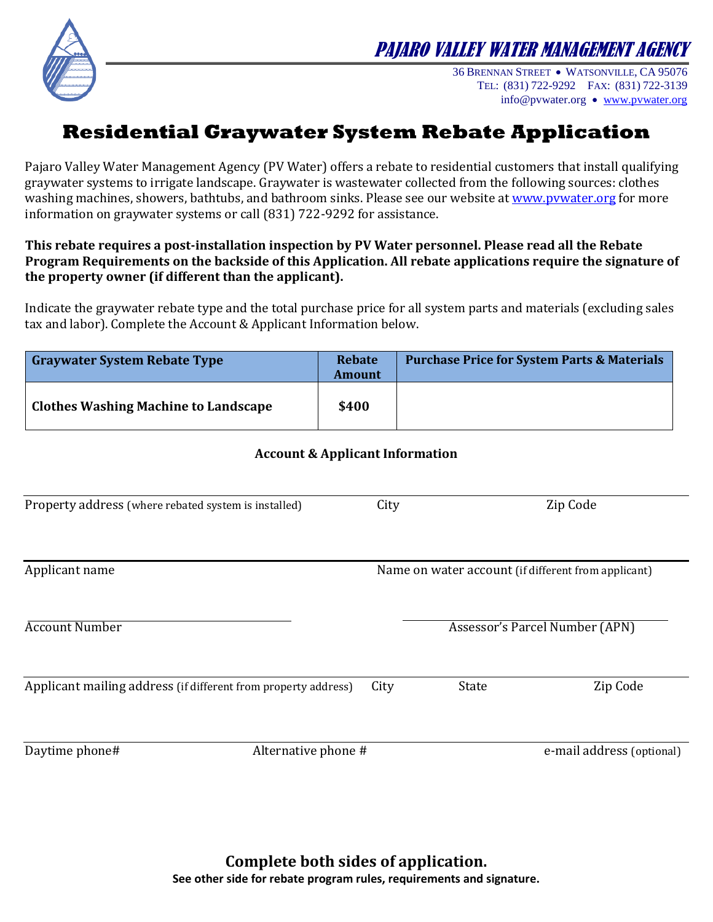



36 BRENNAN STREET WATSONVILLE, CA 95076 TEL: (831) 722-9292 FAX: (831) 722-3139 info@pvwater.org • [www.pvwater.org](http://www.pvwater.org/)

# **Residential Graywater System Rebate Application**

Pajaro Valley Water Management Agency (PV Water) offers a rebate to residential customers that install qualifying graywater systems to irrigate landscape. Graywater is wastewater collected from the following sources: clothes washing machines, showers, bathtubs, and bathroom sinks. Please see our website at [www.pvwater.org](http://www.pvwater.org/) for more information on graywater systems or call (831) 722-9292 for assistance.

#### **This rebate requires a post-installation inspection by PV Water personnel. Please read all the Rebate Program Requirements on the backside of this Application. All rebate applications require the signature of the property owner (if different than the applicant).**

Indicate the graywater rebate type and the total purchase price for all system parts and materials (excluding sales tax and labor). Complete the Account & Applicant Information below.

| <b>Graywater System Rebate Type</b>         | <b>Rebate</b><br><b>Amount</b> | <b>Purchase Price for System Parts &amp; Materials</b> |
|---------------------------------------------|--------------------------------|--------------------------------------------------------|
| <b>Clothes Washing Machine to Landscape</b> | \$400                          |                                                        |

### **Account & Applicant Information**

| Property address (where rebated system is installed)           | City                                                |              | Zip Code                              |
|----------------------------------------------------------------|-----------------------------------------------------|--------------|---------------------------------------|
|                                                                |                                                     |              |                                       |
| Applicant name                                                 | Name on water account (if different from applicant) |              |                                       |
| <b>Account Number</b>                                          |                                                     |              | <b>Assessor's Parcel Number (APN)</b> |
| Applicant mailing address (if different from property address) | City                                                | <b>State</b> | Zip Code                              |
| Daytime phone#<br>Alternative phone #                          |                                                     |              | e-mail address (optional)             |